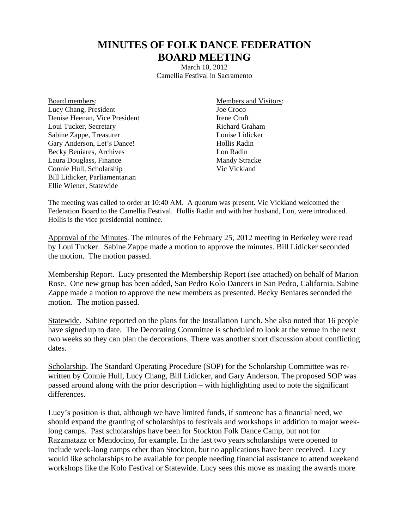## **MINUTES OF FOLK DANCE FEDERATION BOARD MEETING**

March 10, 2012 Camellia Festival in Sacramento

Board members: Lucy Chang, President Denise Heenan, Vice President Loui Tucker, Secretary Sabine Zappe, Treasurer Gary Anderson, Let's Dance! Becky Beniares, Archives Laura Douglass, Finance Connie Hull, Scholarship Bill Lidicker, Parliamentarian Ellie Wiener, Statewide

Members and Visitors: Joe Croco Irene Croft Richard Graham Louise Lidicker Hollis Radin Lon Radin Mandy Stracke Vic Vickland

The meeting was called to order at 10:40 AM. A quorum was present. Vic Vickland welcomed the Federation Board to the Camellia Festival. Hollis Radin and with her husband, Lon, were introduced. Hollis is the vice presidential nominee.

Approval of the Minutes. The minutes of the February 25, 2012 meeting in Berkeley were read by Loui Tucker. Sabine Zappe made a motion to approve the minutes. Bill Lidicker seconded the motion. The motion passed.

Membership Report. Lucy presented the Membership Report (see attached) on behalf of Marion Rose. One new group has been added, San Pedro Kolo Dancers in San Pedro, California. Sabine Zappe made a motion to approve the new members as presented. Becky Beniares seconded the motion. The motion passed.

Statewide. Sabine reported on the plans for the Installation Lunch. She also noted that 16 people have signed up to date. The Decorating Committee is scheduled to look at the venue in the next two weeks so they can plan the decorations. There was another short discussion about conflicting dates.

Scholarship. The Standard Operating Procedure (SOP) for the Scholarship Committee was rewritten by Connie Hull, Lucy Chang, Bill Lidicker, and Gary Anderson. The proposed SOP was passed around along with the prior description – with highlighting used to note the significant differences.

Lucy's position is that, although we have limited funds, if someone has a financial need, we should expand the granting of scholarships to festivals and workshops in addition to major weeklong camps. Past scholarships have been for Stockton Folk Dance Camp, but not for Razzmatazz or Mendocino, for example. In the last two years scholarships were opened to include week-long camps other than Stockton, but no applications have been received. Lucy would like scholarships to be available for people needing financial assistance to attend weekend workshops like the Kolo Festival or Statewide. Lucy sees this move as making the awards more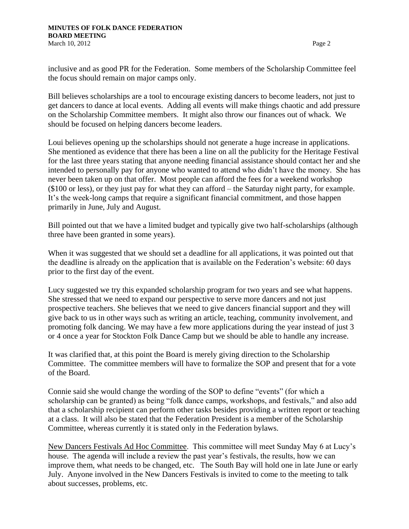inclusive and as good PR for the Federation. Some members of the Scholarship Committee feel the focus should remain on major camps only.

Bill believes scholarships are a tool to encourage existing dancers to become leaders, not just to get dancers to dance at local events. Adding all events will make things chaotic and add pressure on the Scholarship Committee members. It might also throw our finances out of whack. We should be focused on helping dancers become leaders.

Loui believes opening up the scholarships should not generate a huge increase in applications. She mentioned as evidence that there has been a line on all the publicity for the Heritage Festival for the last three years stating that anyone needing financial assistance should contact her and she intended to personally pay for anyone who wanted to attend who didn't have the money. She has never been taken up on that offer. Most people can afford the fees for a weekend workshop (\$100 or less), or they just pay for what they can afford – the Saturday night party, for example. It's the week-long camps that require a significant financial commitment, and those happen primarily in June, July and August.

Bill pointed out that we have a limited budget and typically give two half-scholarships (although three have been granted in some years).

When it was suggested that we should set a deadline for all applications, it was pointed out that the deadline is already on the application that is available on the Federation's website: 60 days prior to the first day of the event.

Lucy suggested we try this expanded scholarship program for two years and see what happens. She stressed that we need to expand our perspective to serve more dancers and not just prospective teachers. She believes that we need to give dancers financial support and they will give back to us in other ways such as writing an article, teaching, community involvement, and promoting folk dancing. We may have a few more applications during the year instead of just 3 or 4 once a year for Stockton Folk Dance Camp but we should be able to handle any increase.

It was clarified that, at this point the Board is merely giving direction to the Scholarship Committee. The committee members will have to formalize the SOP and present that for a vote of the Board.

Connie said she would change the wording of the SOP to define "events" (for which a scholarship can be granted) as being "folk dance camps, workshops, and festivals," and also add that a scholarship recipient can perform other tasks besides providing a written report or teaching at a class. It will also be stated that the Federation President is a member of the Scholarship Committee, whereas currently it is stated only in the Federation bylaws.

New Dancers Festivals Ad Hoc Committee. This committee will meet Sunday May 6 at Lucy's house. The agenda will include a review the past year's festivals, the results, how we can improve them, what needs to be changed, etc. The South Bay will hold one in late June or early July. Anyone involved in the New Dancers Festivals is invited to come to the meeting to talk about successes, problems, etc.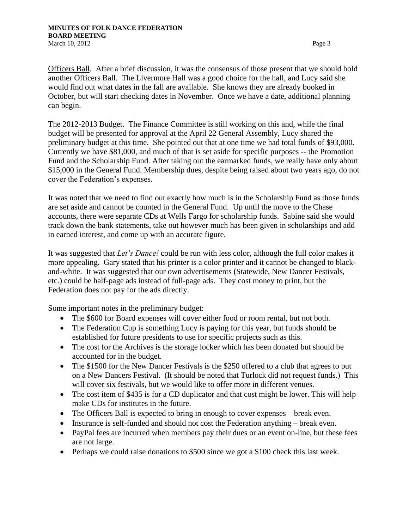Officers Ball. After a brief discussion, it was the consensus of those present that we should hold another Officers Ball. The Livermore Hall was a good choice for the hall, and Lucy said she would find out what dates in the fall are available. She knows they are already booked in October, but will start checking dates in November. Once we have a date, additional planning can begin.

The 2012-2013 Budget. The Finance Committee is still working on this and, while the final budget will be presented for approval at the April 22 General Assembly, Lucy shared the preliminary budget at this time. She pointed out that at one time we had total funds of \$93,000. Currently we have \$81,000, and much of that is set aside for specific purposes -- the Promotion Fund and the Scholarship Fund. After taking out the earmarked funds, we really have only about \$15,000 in the General Fund. Membership dues, despite being raised about two years ago, do not cover the Federation's expenses.

It was noted that we need to find out exactly how much is in the Scholarship Fund as those funds are set aside and cannot be counted in the General Fund. Up until the move to the Chase accounts, there were separate CDs at Wells Fargo for scholarship funds. Sabine said she would track down the bank statements, take out however much has been given in scholarships and add in earned interest, and come up with an accurate figure.

It was suggested that *Let's Dance!* could be run with less color, although the full color makes it more appealing. Gary stated that his printer is a color printer and it cannot be changed to blackand-white. It was suggested that our own advertisements (Statewide, New Dancer Festivals, etc.) could be half-page ads instead of full-page ads. They cost money to print, but the Federation does not pay for the ads directly.

Some important notes in the preliminary budget:

- The \$600 for Board expenses will cover either food or room rental, but not both.
- The Federation Cup is something Lucy is paying for this year, but funds should be established for future presidents to use for specific projects such as this.
- The cost for the Archives is the storage locker which has been donated but should be accounted for in the budget.
- The \$1500 for the New Dancer Festivals is the \$250 offered to a club that agrees to put on a New Dancers Festival. (It should be noted that Turlock did not request funds.) This will cover six festivals, but we would like to offer more in different venues.
- The cost item of \$435 is for a CD duplicator and that cost might be lower. This will help make CDs for institutes in the future.
- The Officers Ball is expected to bring in enough to cover expenses break even.
- Insurance is self-funded and should not cost the Federation anything break even.
- PayPal fees are incurred when members pay their dues or an event on-line, but these fees are not large.
- Perhaps we could raise donations to \$500 since we got a \$100 check this last week.